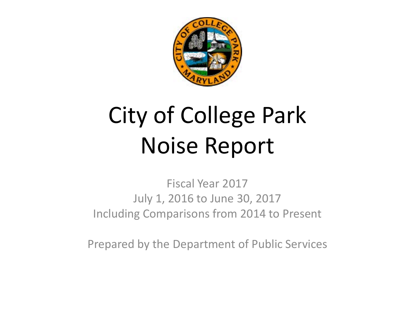

# City of College Park Noise Report

Fiscal Year 2017 July 1, 2016 to June 30, 2017 Including Comparisons from 2014 to Present

Prepared by the Department of Public Services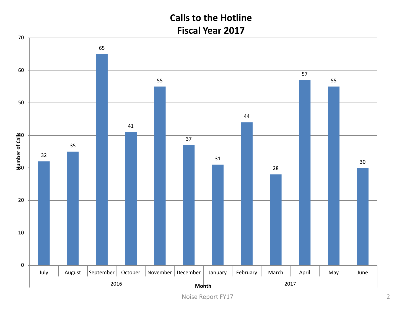## **Calls to the Hotline Fiscal Year 2017**

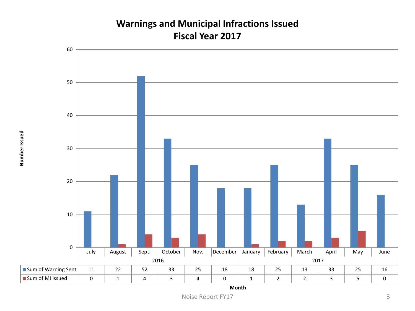#### **Warnings and Municipal Infractions Issued Fiscal Year 2017**



**Month**

Noise Report FY17 3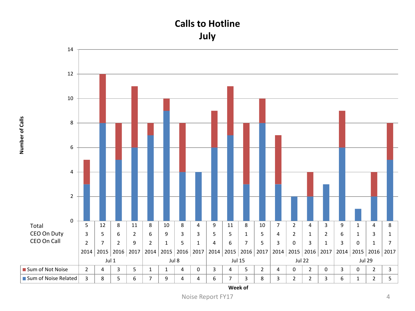## **Calls to Hotline July**



**Number of Calls**

Number of Calls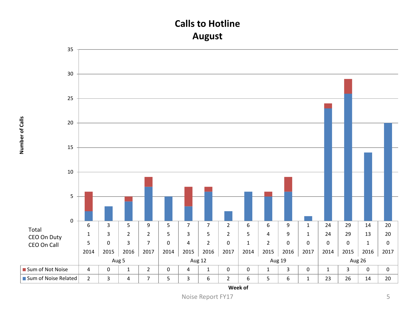## **Calls to Hotline August**

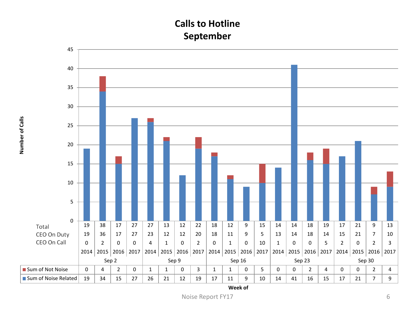## **Calls to Hotline September**



**Number of Calls**

Number of Calls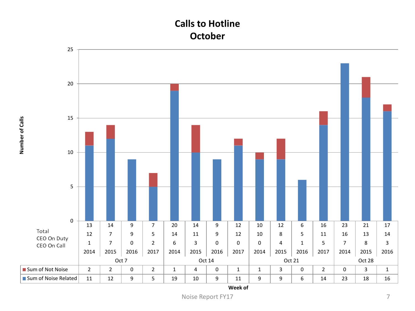## **Calls to Hotline October**

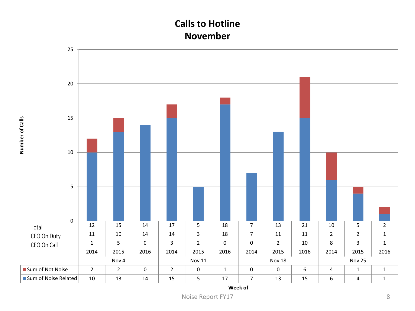## **Calls to Hotline November**



**Number of Calls**

Number of Calls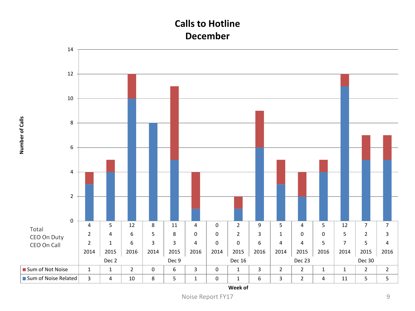## **Calls to Hotline December**



**Number of Calls**

Number of Calls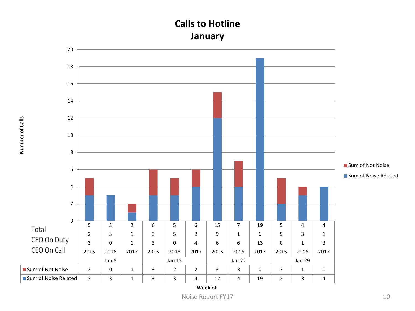## **Calls to Hotline January**



**Number of Calls**

Number of Calls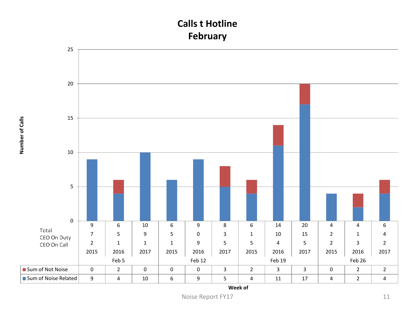## **Calls t Hotline February**



**Number of Calls**

Number of Calls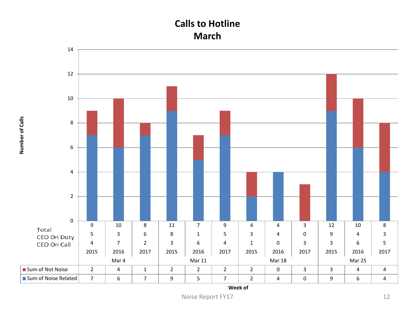## **Calls to Hotline March**



**Number of Calls**

Number of Calls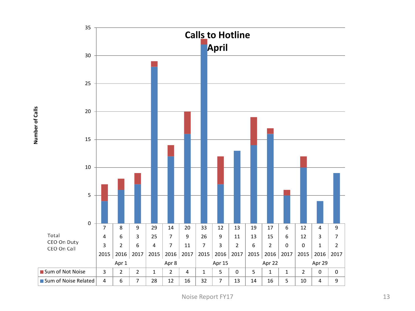

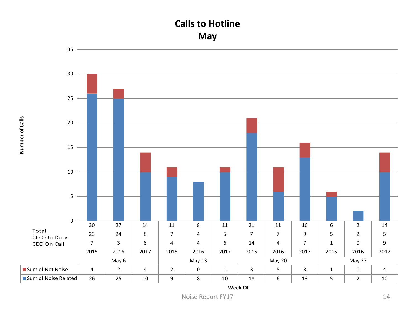## **Calls to Hotline May**



**Number of Calls**

Number of Calls

**Week Of**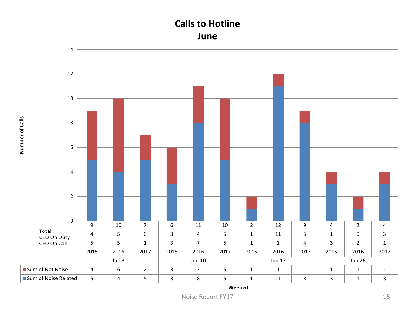#### **Calls to Hotline June**



**Number of Calls**

Number of Calls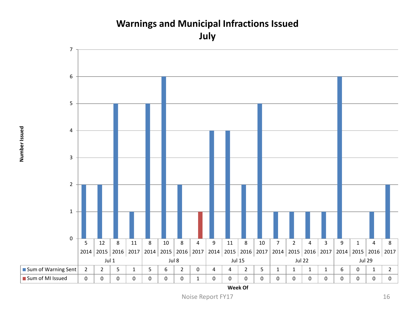## **Warnings and Municipal Infractions Issued July**

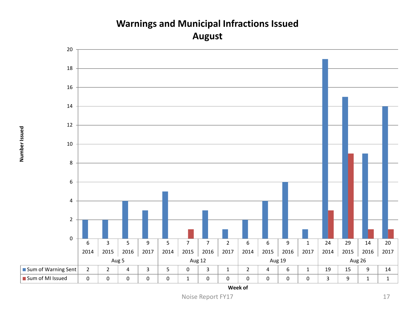## **Warnings and Municipal Infractions Issued August**

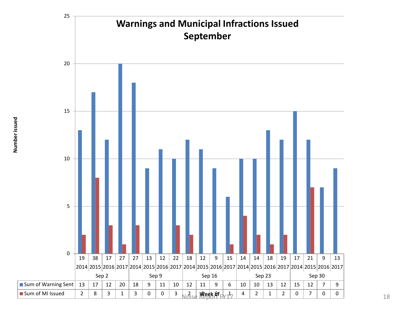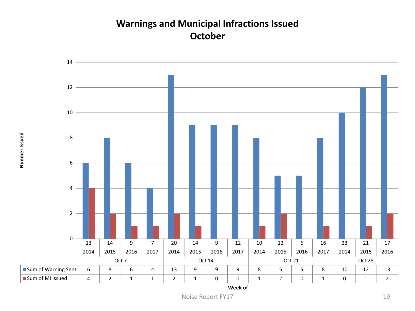## **Warnings and Municipal Infractions Issued October**

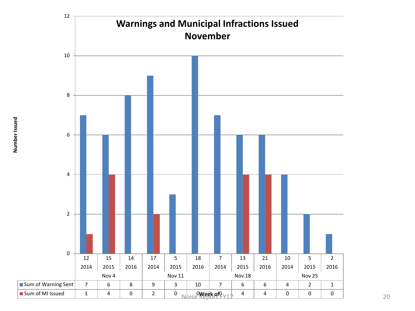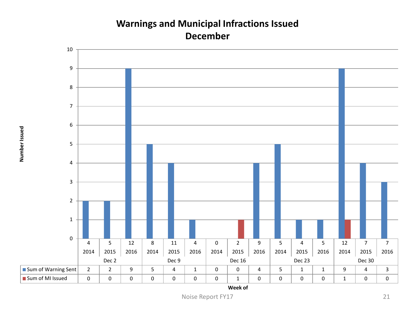#### **Warnings and Municipal Infractions Issued December**

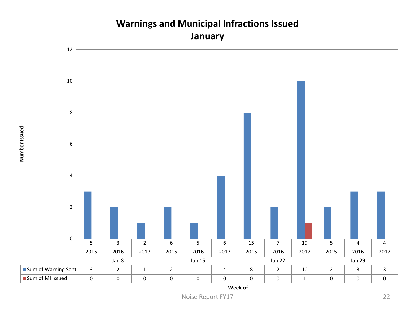

## **Warnings and Municipal Infractions Issued January**

Number Issued **Number Issued**

Noise Report FY17 22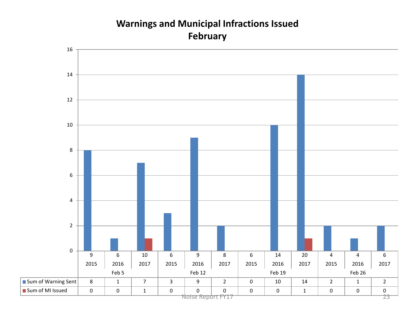## **Warnings and Municipal Infractions Issued February**

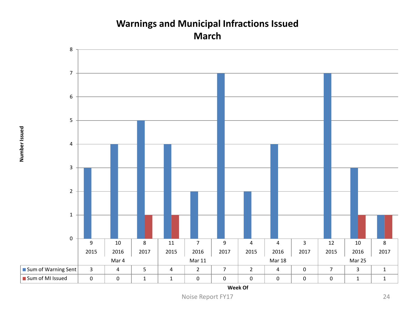#### **Warnings and Municipal Infractions Issued March**



**Week Of**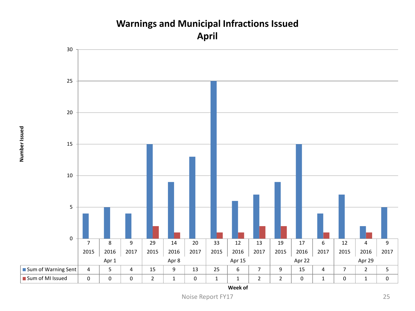

## **Warnings and Municipal Infractions Issued April**

Number Issued **Number Issued**

Noise Report FY17 25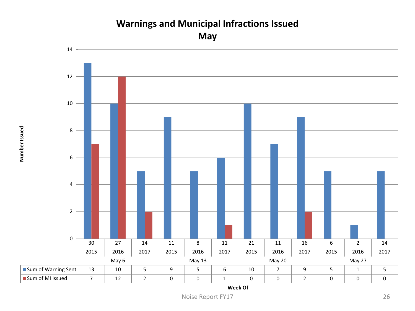## **Warnings and Municipal Infractions Issued**

**May**



**Week Of**

Noise Report FY17 26